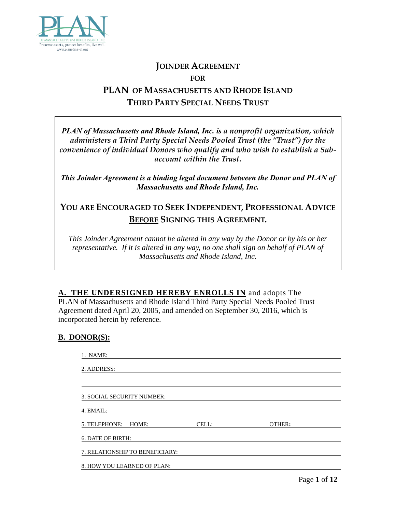

# **JOINDER AGREEMENT FOR PLAN OF MASSACHUSETTS AND RHODE ISLAND THIRD PARTY SPECIAL NEEDS TRUST**

*PLAN of Massachusetts and Rhode Island, Inc. is a nonprofit organization, which administers a Third Party Special Needs Pooled Trust (the "Trust") for the convenience of individual Donors who qualify and who wish to establish a Subaccount within the Trust.*

*This Joinder Agreement is a binding legal document between the Donor and PLAN of Massachusetts and Rhode Island, Inc.* 

# **YOU ARE ENCOURAGED TO SEEK INDEPENDENT, PROFESSIONAL ADVICE BEFORE SIGNING THIS AGREEMENT.**

*This Joinder Agreement cannot be altered in any way by the Donor or by his or her representative. If it is altered in any way, no one shall sign on behalf of PLAN of Massachusetts and Rhode Island, Inc.*

**A. THE UNDERSIGNED HEREBY ENROLLS IN** and adopts The PLAN of Massachusetts and Rhode Island Third Party Special Needs Pooled Trust Agreement dated April 20, 2005, and amended on September 30, 2016, which is incorporated herein by reference.

### **B. DONOR(S):**

| 1. NAME:                        |       |        |  |
|---------------------------------|-------|--------|--|
| 2. ADDRESS:                     |       |        |  |
|                                 |       |        |  |
| 3. SOCIAL SECURITY NUMBER:      |       |        |  |
| 4. EMAIL:                       |       |        |  |
| 5. TELEPHONE: HOME:             | CELL: | OTHER: |  |
| 6. DATE OF BIRTH:               |       |        |  |
| 7. RELATIONSHIP TO BENEFICIARY: |       |        |  |
| 8. HOW YOU LEARNED OF PLAN:     |       |        |  |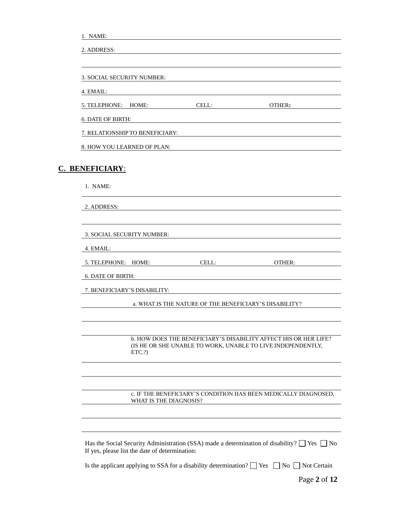| NAME: |
|-------|
|-------|

| 3. SOCIAL SECURITY NUMBER:      |                                                        |                                                                                                                                 |
|---------------------------------|--------------------------------------------------------|---------------------------------------------------------------------------------------------------------------------------------|
| 4. EMAIL:                       |                                                        |                                                                                                                                 |
| 5. TELEPHONE: HOME:             | CELL:                                                  | OTHER:                                                                                                                          |
| <b>6. DATE OF BIRTH:</b>        |                                                        |                                                                                                                                 |
| 7. RELATIONSHIP TO BENEFICIARY: |                                                        |                                                                                                                                 |
| 8. HOW YOU LEARNED OF PLAN:     |                                                        |                                                                                                                                 |
| C. BENEFICIARY:                 |                                                        |                                                                                                                                 |
|                                 |                                                        |                                                                                                                                 |
| 1. NAME:                        |                                                        |                                                                                                                                 |
| 2. ADDRESS:                     |                                                        |                                                                                                                                 |
|                                 |                                                        |                                                                                                                                 |
| 3. SOCIAL SECURITY NUMBER:      |                                                        |                                                                                                                                 |
| 4. EMAIL:                       |                                                        |                                                                                                                                 |
| 5. TELEPHONE: HOME:             | CELL:                                                  | OTHER:                                                                                                                          |
| <b>6. DATE OF BIRTH:</b>        |                                                        |                                                                                                                                 |
| 7. BENEFICIARY'S DISABILITY:    |                                                        |                                                                                                                                 |
|                                 | a. WHAT IS THE NATURE OF THE BENEFICIARY'S DISABILITY? |                                                                                                                                 |
|                                 |                                                        |                                                                                                                                 |
|                                 |                                                        |                                                                                                                                 |
| ETC.?)                          |                                                        | b. HOW DOES THE BENEFICIARY'S DISABILITY AFFECT HIS OR HER LIFE?<br>(IS HE OR SHE UNABLE TO WORK, UNABLE TO LIVE INDEPENDENTLY, |
|                                 |                                                        |                                                                                                                                 |
|                                 | WHAT IS THE DIAGNOSIS?                                 | c. IF THE BENEFICIARY'S CONDITION HAS BEEN MEDICALLY DIAGNOSED,                                                                 |
|                                 |                                                        |                                                                                                                                 |

Is the applicant applying to SSA for a disability determination?  $\Box$  Yes  $\Box$  No  $\Box$  Not Certain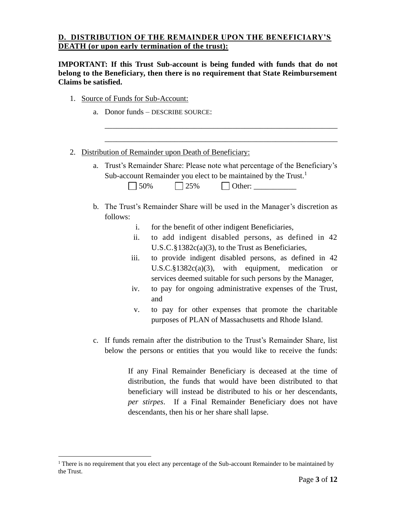### **D. DISTRIBUTION OF THE REMAINDER UPON THE BENEFICIARY'S DEATH (or upon early termination of the trust):**

**IMPORTANT: If this Trust Sub-account is being funded with funds that do not belong to the Beneficiary, then there is no requirement that State Reimbursement Claims be satisfied.**

- 1. Source of Funds for Sub-Account:
	- a. Donor funds DESCRIBE SOURCE:

| 2. | Distribution of Remainder upon Death of Beneficiary:                                                                                                                                                                                                                   |
|----|------------------------------------------------------------------------------------------------------------------------------------------------------------------------------------------------------------------------------------------------------------------------|
| a. | Trust's Remainder Share: Please note what percentage of the Beneficiary's<br>Sub-account Remainder you elect to be maintained by the Trust. <sup>1</sup><br>50%<br>Other:<br>25%                                                                                       |
|    | b. The Trust's Remainder Share will be used in the Manager's discretion as<br>follows:                                                                                                                                                                                 |
|    | for the benefit of other indigent Beneficiaries,<br>i.                                                                                                                                                                                                                 |
|    | to add indigent disabled persons, as defined in 42<br>ii.<br>U.S.C. $§$ 1382 $c$ (a)(3), to the Trust as Beneficiaries,                                                                                                                                                |
|    | iii.<br>to provide indigent disabled persons, as defined in 42<br>U.S.C. $§1382c(a)(3)$ , with equipment, medication<br><sub>or</sub><br>services deemed suitable for such persons by the Manager,                                                                     |
|    | to pay for ongoing administrative expenses of the Trust,<br>iv.<br>and                                                                                                                                                                                                 |
|    | to pay for other expenses that promote the charitable<br>V.<br>purposes of PLAN of Massachusetts and Rhode Island.                                                                                                                                                     |
|    | c. If funds remain after the distribution to the Trust's Remainder Share, list<br>below the persons or entities that you would like to receive the funds:                                                                                                              |
|    | If any Final Remainder Beneficiary is deceased at the time of<br>distribution, the funds that would have been distributed to that<br>beneficiary will instead be distributed to his or her descendants,<br>per stirpes. If a Final Remainder Beneficiary does not have |

descendants, then his or her share shall lapse.

 $1$  There is no requirement that you elect any percentage of the Sub-account Remainder to be maintained by the Trust.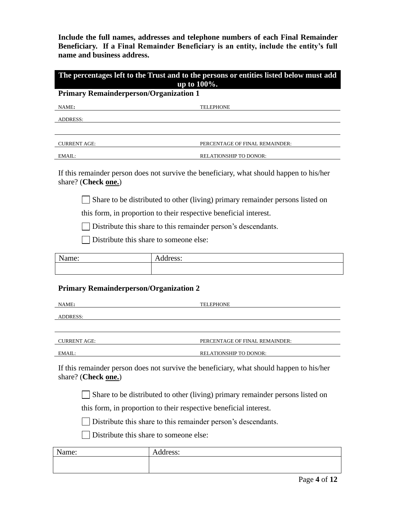**Include the full names, addresses and telephone numbers of each Final Remainder Beneficiary. If a Final Remainder Beneficiary is an entity, include the entity's full name and business address.**

| The percentages left to the Trust and to the persons or entities listed below must add<br>up to 100%. |                                                                                          |  |  |  |  |
|-------------------------------------------------------------------------------------------------------|------------------------------------------------------------------------------------------|--|--|--|--|
| <b>Primary Remainderperson/Organization 1</b>                                                         |                                                                                          |  |  |  |  |
| NAME:                                                                                                 | TELEPHONE                                                                                |  |  |  |  |
| ADDRESS:                                                                                              |                                                                                          |  |  |  |  |
|                                                                                                       |                                                                                          |  |  |  |  |
| <b>CURRENT AGE:</b>                                                                                   | PERCENTAGE OF FINAL REMAINDER:                                                           |  |  |  |  |
| EMAIL:                                                                                                | <b>RELATIONSHIP TO DONOR:</b>                                                            |  |  |  |  |
| share? (Check one.)                                                                                   | If this remainder person does not survive the beneficiary, what should happen to his/her |  |  |  |  |
|                                                                                                       | Share to be distributed to other (living) primary remainder persons listed on            |  |  |  |  |
|                                                                                                       | this form, in proportion to their respective beneficial interest.                        |  |  |  |  |
|                                                                                                       | Distribute this share to this remainder person's descendants.                            |  |  |  |  |
|                                                                                                       | Distribute this share to someone else:                                                   |  |  |  |  |
| Name:                                                                                                 | Address:                                                                                 |  |  |  |  |
|                                                                                                       |                                                                                          |  |  |  |  |
| <b>Primary Remainderperson/Organization 2</b>                                                         |                                                                                          |  |  |  |  |
| NAME:                                                                                                 | <b>TELEPHONE</b>                                                                         |  |  |  |  |
| ADDRESS:                                                                                              |                                                                                          |  |  |  |  |
|                                                                                                       |                                                                                          |  |  |  |  |
| <b>CURRENT AGE:</b>                                                                                   | PERCENTAGE OF FINAL REMAINDER:                                                           |  |  |  |  |
| EMAIL:<br><b>RELATIONSHIP TO DONOR:</b>                                                               |                                                                                          |  |  |  |  |
| share? (Check one.)                                                                                   | If this remainder person does not survive the beneficiary, what should happen to his/her |  |  |  |  |
| Share to be distributed to other (living) primary remainder persons listed on                         |                                                                                          |  |  |  |  |
| this form, in proportion to their respective beneficial interest.                                     |                                                                                          |  |  |  |  |
| Distribute this share to this remainder person's descendants.                                         |                                                                                          |  |  |  |  |
|                                                                                                       | Distribute this share to someone else:                                                   |  |  |  |  |
| Name:                                                                                                 | Address:                                                                                 |  |  |  |  |
|                                                                                                       |                                                                                          |  |  |  |  |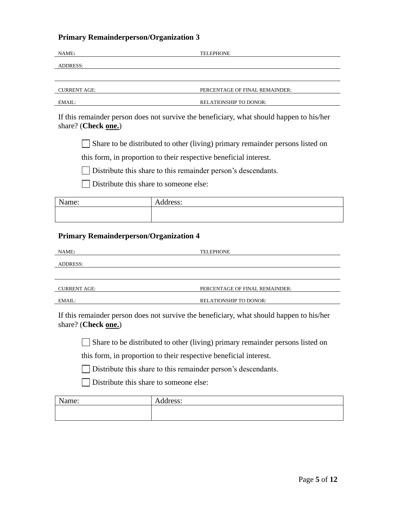## **Primary Remainderperson/Organization 3**

| NAME:                                                                                                           | TELEPHONE                                                                                |  |  |  |  |
|-----------------------------------------------------------------------------------------------------------------|------------------------------------------------------------------------------------------|--|--|--|--|
| <b>ADDRESS:</b>                                                                                                 |                                                                                          |  |  |  |  |
|                                                                                                                 |                                                                                          |  |  |  |  |
| <b>CURRENT AGE:</b>                                                                                             | PERCENTAGE OF FINAL REMAINDER:                                                           |  |  |  |  |
| EMAIL:                                                                                                          | RELATIONSHIP TO DONOR:                                                                   |  |  |  |  |
| share? (Check one.)                                                                                             | If this remainder person does not survive the beneficiary, what should happen to his/her |  |  |  |  |
|                                                                                                                 | Share to be distributed to other (living) primary remainder persons listed on            |  |  |  |  |
|                                                                                                                 | this form, in proportion to their respective beneficial interest.                        |  |  |  |  |
|                                                                                                                 | Distribute this share to this remainder person's descendants.                            |  |  |  |  |
| Distribute this share to someone else:                                                                          |                                                                                          |  |  |  |  |
| Name:                                                                                                           | Address:                                                                                 |  |  |  |  |
|                                                                                                                 |                                                                                          |  |  |  |  |
| <b>Primary Remainderperson/Organization 4</b>                                                                   |                                                                                          |  |  |  |  |
| NAME:                                                                                                           | <b>TELEPHONE</b>                                                                         |  |  |  |  |
| <b>ADDRESS:</b>                                                                                                 |                                                                                          |  |  |  |  |
|                                                                                                                 |                                                                                          |  |  |  |  |
| <b>CURRENT AGE:</b>                                                                                             | PERCENTAGE OF FINAL REMAINDER:                                                           |  |  |  |  |
| EMAIL:                                                                                                          | RELATIONSHIP TO DONOR:                                                                   |  |  |  |  |
| If this remainder person does not survive the beneficiary, what should happen to his/her<br>share? (Check one.) |                                                                                          |  |  |  |  |
| Share to be distributed to other (living) primary remainder persons listed on                                   |                                                                                          |  |  |  |  |
| this form, in proportion to their respective beneficial interest.                                               |                                                                                          |  |  |  |  |
| Distribute this share to this remainder person's descendants.                                                   |                                                                                          |  |  |  |  |
| Distribute this share to someone else:                                                                          |                                                                                          |  |  |  |  |
|                                                                                                                 |                                                                                          |  |  |  |  |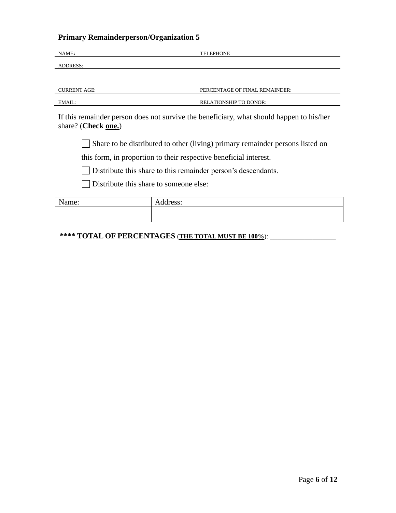## **Primary Remainderperson/Organization 5**

| NAME:                                                         | <b>TELEPHONE</b>                                                                         |  |  |  |  |  |
|---------------------------------------------------------------|------------------------------------------------------------------------------------------|--|--|--|--|--|
| <b>ADDRESS:</b>                                               |                                                                                          |  |  |  |  |  |
|                                                               |                                                                                          |  |  |  |  |  |
| <b>CURRENT AGE:</b>                                           | PERCENTAGE OF FINAL REMAINDER:                                                           |  |  |  |  |  |
| EMAIL:                                                        | <b>RELATIONSHIP TO DONOR:</b>                                                            |  |  |  |  |  |
| share? (Check one.)                                           | If this remainder person does not survive the beneficiary, what should happen to his/her |  |  |  |  |  |
|                                                               | Share to be distributed to other (living) primary remainder persons listed on            |  |  |  |  |  |
|                                                               | this form, in proportion to their respective beneficial interest.                        |  |  |  |  |  |
| Distribute this share to this remainder person's descendants. |                                                                                          |  |  |  |  |  |
| Distribute this share to some one else:                       |                                                                                          |  |  |  |  |  |
| Name:                                                         | Address:                                                                                 |  |  |  |  |  |
|                                                               |                                                                                          |  |  |  |  |  |

**\*\*\*\* TOTAL OF PERCENTAGES** (**THE TOTAL MUST BE 100%**): \_\_\_\_\_\_\_\_\_\_\_\_\_\_\_\_\_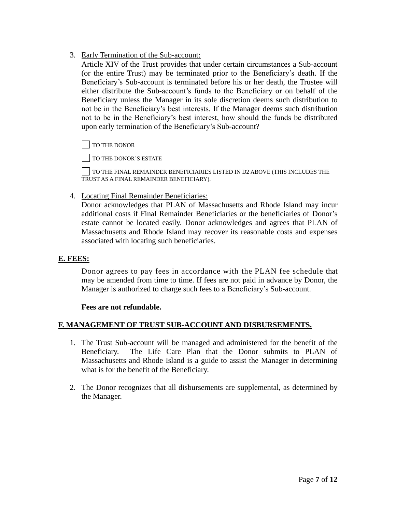3. Early Termination of the Sub-account:

Article XIV of the Trust provides that under certain circumstances a Sub-account (or the entire Trust) may be terminated prior to the Beneficiary's death. If the Beneficiary's Sub-account is terminated before his or her death, the Trustee will either distribute the Sub-account's funds to the Beneficiary or on behalf of the Beneficiary unless the Manager in its sole discretion deems such distribution to not be in the Beneficiary's best interests. If the Manager deems such distribution not to be in the Beneficiary's best interest, how should the funds be distributed upon early termination of the Beneficiary's Sub-account?

TO THE DONOR

TO THE DONOR'S ESTATE

TO THE FINAL REMAINDER BENEFICIARIES LISTED IN D2 ABOVE (THIS INCLUDES THE TRUST AS A FINAL REMAINDER BENEFICIARY).

4. Locating Final Remainder Beneficiaries:

Donor acknowledges that PLAN of Massachusetts and Rhode Island may incur additional costs if Final Remainder Beneficiaries or the beneficiaries of Donor's estate cannot be located easily. Donor acknowledges and agrees that PLAN of Massachusetts and Rhode Island may recover its reasonable costs and expenses associated with locating such beneficiaries.

### **E. FEES:**

Donor agrees to pay fees in accordance with the PLAN fee schedule that may be amended from time to time. If fees are not paid in advance by Donor, the Manager is authorized to charge such fees to a Beneficiary's Sub-account.

### **Fees are not refundable.**

### **F. MANAGEMENT OF TRUST SUB-ACCOUNT AND DISBURSEMENTS.**

- 1. The Trust Sub-account will be managed and administered for the benefit of the Beneficiary. The Life Care Plan that the Donor submits to PLAN of Massachusetts and Rhode Island is a guide to assist the Manager in determining what is for the benefit of the Beneficiary.
- 2. The Donor recognizes that all disbursements are supplemental, as determined by the Manager.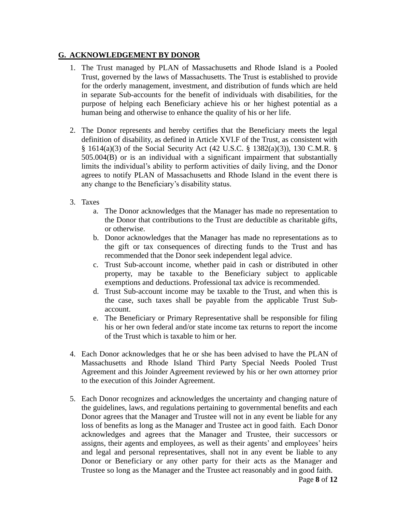### **G. ACKNOWLEDGEMENT BY DONOR**

- 1. The Trust managed by PLAN of Massachusetts and Rhode Island is a Pooled Trust, governed by the laws of Massachusetts. The Trust is established to provide for the orderly management, investment, and distribution of funds which are held in separate Sub-accounts for the benefit of individuals with disabilities, for the purpose of helping each Beneficiary achieve his or her highest potential as a human being and otherwise to enhance the quality of his or her life.
- 2. The Donor represents and hereby certifies that the Beneficiary meets the legal definition of disability, as defined in Article XVI.F of the Trust, as consistent with § 1614(a)(3) of the Social Security Act (42 U.S.C. § 1382(a)(3)), 130 C.M.R. § 505.004(B) or is an individual with a significant impairment that substantially limits the individual's ability to perform activities of daily living, and the Donor agrees to notify PLAN of Massachusetts and Rhode Island in the event there is any change to the Beneficiary's disability status.
- 3. Taxes
	- a. The Donor acknowledges that the Manager has made no representation to the Donor that contributions to the Trust are deductible as charitable gifts, or otherwise.
	- b. Donor acknowledges that the Manager has made no representations as to the gift or tax consequences of directing funds to the Trust and has recommended that the Donor seek independent legal advice.
	- c. Trust Sub-account income, whether paid in cash or distributed in other property, may be taxable to the Beneficiary subject to applicable exemptions and deductions. Professional tax advice is recommended.
	- d. Trust Sub-account income may be taxable to the Trust, and when this is the case, such taxes shall be payable from the applicable Trust Subaccount.
	- e. The Beneficiary or Primary Representative shall be responsible for filing his or her own federal and/or state income tax returns to report the income of the Trust which is taxable to him or her.
- 4. Each Donor acknowledges that he or she has been advised to have the PLAN of Massachusetts and Rhode Island Third Party Special Needs Pooled Trust Agreement and this Joinder Agreement reviewed by his or her own attorney prior to the execution of this Joinder Agreement.
- 5. Each Donor recognizes and acknowledges the uncertainty and changing nature of the guidelines, laws, and regulations pertaining to governmental benefits and each Donor agrees that the Manager and Trustee will not in any event be liable for any loss of benefits as long as the Manager and Trustee act in good faith. Each Donor acknowledges and agrees that the Manager and Trustee, their successors or assigns, their agents and employees, as well as their agents' and employees' heirs and legal and personal representatives, shall not in any event be liable to any Donor or Beneficiary or any other party for their acts as the Manager and Trustee so long as the Manager and the Trustee act reasonably and in good faith.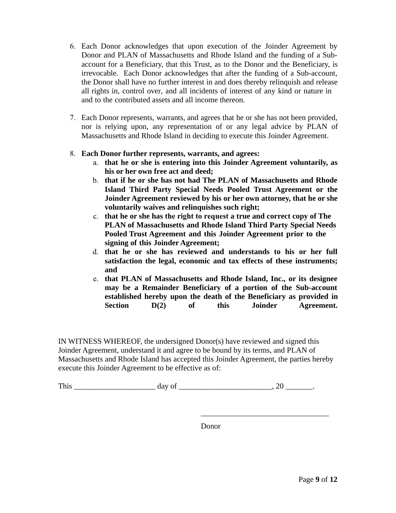- 6. Each Donor acknowledges that upon execution of the Joinder Agreement by Donor and PLAN of Massachusetts and Rhode Island and the funding of a Subaccount for a Beneficiary, that this Trust, as to the Donor and the Beneficiary, is irrevocable. Each Donor acknowledges that after the funding of a Sub-account, the Donor shall have no further interest in and does thereby relinquish and release all rights in, control over, and all incidents of interest of any kind or nature in and to the contributed assets and all income thereon.
- 7. Each Donor represents, warrants, and agrees that he or she has not been provided, nor is relying upon, any representation of or any legal advice by PLAN of Massachusetts and Rhode Island in deciding to execute this Joinder Agreement.

### 8. **Each Donor further represents, warrants, and agrees:**

- a. **that he or she is entering into this Joinder Agreement voluntarily, as his or her own free act and deed;**
- b. **that if he or she has not had The PLAN of Massachusetts and Rhode Island Third Party Special Needs Pooled Trust Agreement or the Joinder Agreement reviewed by his or her own attorney, that he or she voluntarily waives and relinquishes such right;**
- c. **that he or she has the right to request a true and correct copy of The PLAN of Massachusetts and Rhode Island Third Party Special Needs Pooled Trust Agreement and this Joinder Agreement prior to the signing of this Joinder Agreement;**
- d. **that he or she has reviewed and understands to his or her full satisfaction the legal, economic and tax effects of these instruments; and**
- e. **that PLAN of Massachusetts and Rhode Island, Inc., or its designee may be a Remainder Beneficiary of a portion of the Sub-account established hereby upon the death of the Beneficiary as provided in Section D(2) of this Joinder Agreement.**

IN WITNESS WHEREOF, the undersigned Donor(s) have reviewed and signed this Joinder Agreement, understand it and agree to be bound by its terms, and PLAN of Massachusetts and Rhode Island has accepted this Joinder Agreement, the parties hereby execute this Joinder Agreement to be effective as of:

| m1<br><b>AAAA</b> | $-1$<br>$\sim$<br>. | . . |
|-------------------|---------------------|-----|
|-------------------|---------------------|-----|

Donor

\_\_\_\_\_\_\_\_\_\_\_\_\_\_\_\_\_\_\_\_\_\_\_\_\_\_\_\_\_\_\_\_\_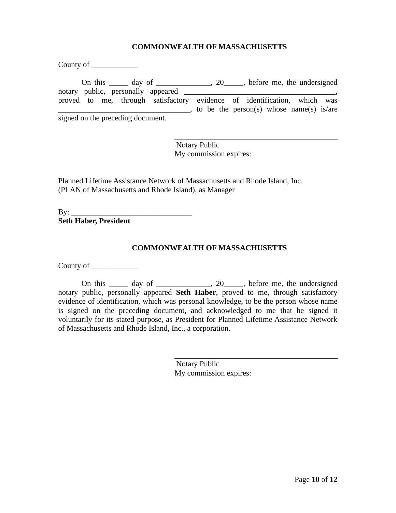#### **COMMONWEALTH OF MASSACHUSETTS**

County of \_\_\_\_\_\_\_\_\_\_\_\_ On this \_\_\_\_\_ day of \_\_\_\_\_\_\_\_\_\_\_, 20\_\_\_\_, before me, the undersigned notary public, personally appeared proved to me, through satisfactory evidence of identification, which was \_\_\_\_\_\_\_\_\_\_\_\_\_\_\_\_\_\_\_\_\_\_\_\_\_\_\_\_\_\_\_\_\_\_, to be the person(s) whose name(s) is/are signed on the preceding document.

> Notary Public My commission expires:

Planned Lifetime Assistance Network of Massachusetts and Rhode Island, Inc. (PLAN of Massachusetts and Rhode Island), as Manager

 $By:$ **Seth Haber, President**

### **COMMONWEALTH OF MASSACHUSETTS**

County of  $\_\_\_\_\_\_\_\_\_\_\_\_\_\_\_\_$ 

On this  $\_\_\_\_$  day of  $\_\_\_\_\_\_$ , 20 $\_\_\_\_\_$ , before me, the undersigned notary public, personally appeared **Seth Haber**, proved to me, through satisfactory evidence of identification, which was personal knowledge, to be the person whose name is signed on the preceding document, and acknowledged to me that he signed it voluntarily for its stated purpose, as President for Planned Lifetime Assistance Network of Massachusetts and Rhode Island, Inc., a corporation.

> Notary Public My commission expires: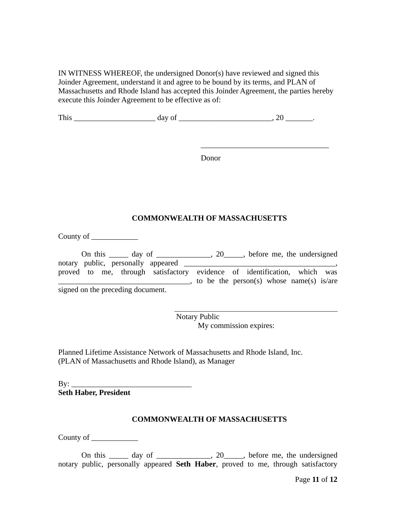IN WITNESS WHEREOF, the undersigned Donor(s) have reviewed and signed this Joinder Agreement, understand it and agree to be bound by its terms, and PLAN of Massachusetts and Rhode Island has accepted this Joinder Agreement, the parties hereby execute this Joinder Agreement to be effective as of:

| ---<br>--- | . .<br>---<br>-- |  |
|------------|------------------|--|
|            |                  |  |

Donor

\_\_\_\_\_\_\_\_\_\_\_\_\_\_\_\_\_\_\_\_\_\_\_\_\_\_\_\_\_\_\_\_\_

#### **COMMONWEALTH OF MASSACHUSETTS**

County of

|  |                                    | On this $\_\_\_\_$ day of $\_\_\_\_\_$ , 20 $\_\_\_\$ before me, the undersigned |  |  |                                          |  |
|--|------------------------------------|----------------------------------------------------------------------------------|--|--|------------------------------------------|--|
|  | notary public, personally appeared |                                                                                  |  |  |                                          |  |
|  |                                    | proved to me, through satisfactory evidence of identification, which was         |  |  |                                          |  |
|  |                                    |                                                                                  |  |  | to be the person(s) whose name(s) is/are |  |
|  | signed on the preceding document.  |                                                                                  |  |  |                                          |  |

Notary Public My commission expires:

Planned Lifetime Assistance Network of Massachusetts and Rhode Island, Inc. (PLAN of Massachusetts and Rhode Island), as Manager

By: \_\_\_\_\_\_\_\_\_\_\_\_\_\_\_\_\_\_\_\_\_\_\_\_\_\_\_\_\_\_\_ **Seth Haber, President**

### **COMMONWEALTH OF MASSACHUSETTS**

County of \_\_\_\_\_\_\_\_\_\_\_\_

On this  $\_\_\_\_$  day of  $\_\_\_\_\_\_$ , 20 $\_\_\_\_\_\_$  before me, the undersigned notary public, personally appeared **Seth Haber**, proved to me, through satisfactory